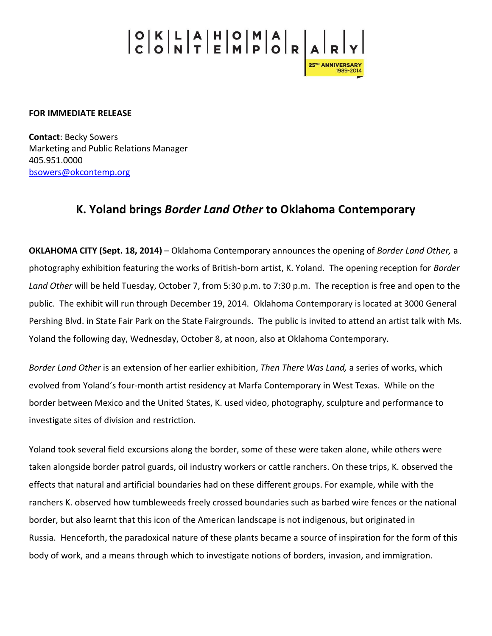## 

**FOR IMMEDIATE RELEASE**

**Contact**: Becky Sowers Marketing and Public Relations Manager 405.951.0000 [bsowers@okcontemp.org](mailto:bsowers@okcontemp.org)

## **K. Yoland brings** *Border Land Other* **to Oklahoma Contemporary**

**OKLAHOMA CITY (Sept. 18, 2014)** – Oklahoma Contemporary announces the opening of *Border Land Other,* a photography exhibition featuring the works of British-born artist, K. Yoland. The opening reception for *Border Land Other* will be held Tuesday, October 7, from 5:30 p.m. to 7:30 p.m. The reception is free and open to the public. The exhibit will run through December 19, 2014. Oklahoma Contemporary is located at 3000 General Pershing Blvd. in State Fair Park on the State Fairgrounds. The public is invited to attend an artist talk with Ms. Yoland the following day, Wednesday, October 8, at noon, also at Oklahoma Contemporary.

*Border Land Other* is an extension of her earlier exhibition, *Then There Was Land,* a series of works, which evolved from Yoland's four-month artist residency at Marfa Contemporary in West Texas. While on the border between Mexico and the United States, K. used video, photography, sculpture and performance to investigate sites of division and restriction.

Yoland took several field excursions along the border, some of these were taken alone, while others were taken alongside border patrol guards, oil industry workers or cattle ranchers. On these trips, K. observed the effects that natural and artificial boundaries had on these different groups. For example, while with the ranchers K. observed how tumbleweeds freely crossed boundaries such as barbed wire fences or the national border, but also learnt that this icon of the American landscape is not indigenous, but originated in Russia. Henceforth, the paradoxical nature of these plants became a source of inspiration for the form of this body of work, and a means through which to investigate notions of borders, invasion, and immigration.